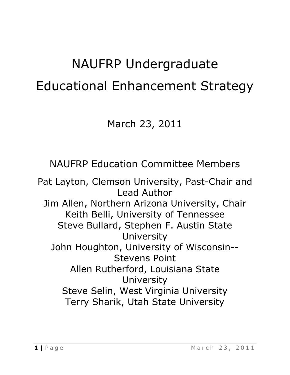# NAUFRP Undergraduate Educational Enhancement Strategy

# March 23, 2011

NAUFRP Education Committee Members

Pat Layton, Clemson University, Past-Chair and Lead Author Jim Allen, Northern Arizona University, Chair Keith Belli, University of Tennessee Steve Bullard, Stephen F. Austin State University John Houghton, University of Wisconsin-- Stevens Point Allen Rutherford, Louisiana State University Steve Selin, West Virginia University Terry Sharik, Utah State University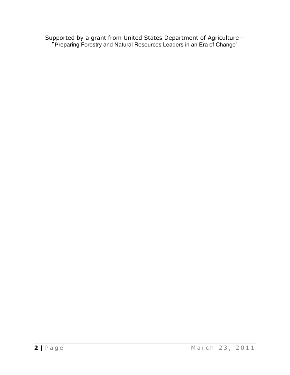Supported by a grant from United States Department of Agriculture— "Preparing Forestry and Natural Resources Leaders in an Era of Change"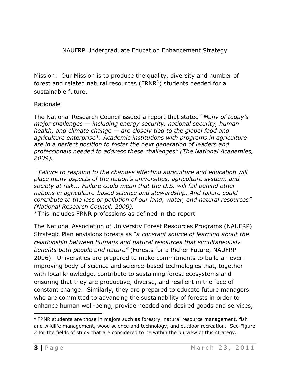NAUFRP Undergraduate Education Enhancement Strategy

Mission: Our Mission is to produce the quality, diversity and number of forest and related natural resources (FRNR<sup>1</sup>) students needed for a sustainable future.

# Rationale

The National Research Council issued a report that stated *"Many of today's major challenges — including energy security, national security, human health, and climate change — are closely tied to the global food and agriculture enterprise\*. Academic institutions with programs in agriculture are in a perfect position to foster the next generation of leaders and professionals needed to address these challenges" (The National Academies, 2009).* 

*"Failure to respond to the changes affecting agriculture and education will place many aspects of the nation's universities, agriculture system, and society at risk... Failure could mean that the U.S. will fall behind other nations in agriculture-based science and stewardship. And failure could contribute to the loss or pollution of our land, water, and natural resources" (National Research Council, 2009).*

\*This includes FRNR professions as defined in the report

The National Association of University Forest Resources Programs (NAUFRP) Strategic Plan envisions forests as "*a constant source of learning about the relationship between humans and natural resources that simultaneously benefits both people and nature"* (Forests for a Richer Future, NAUFRP 2006). Universities are prepared to make commitments to build an everimproving body of science and science-based technologies that, together with local knowledge, contribute to sustaining forest ecosystems and ensuring that they are productive, diverse, and resilient in the face of constant change. Similarly, they are prepared to educate future managers who are committed to advancing the sustainability of forests in order to enhance human well-being, provide needed and desired goods and services,

 $\overline{a}$ 

 $1$  FRNR students are those in majors such as forestry, natural resource management, fish and wildlife management, wood science and technology, and outdoor recreation. See Figure 2 for the fields of study that are considered to be within the purview of this strategy.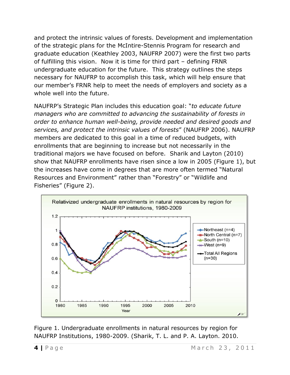and protect the intrinsic values of forests. Development and implementation of the strategic plans for the McIntire-Stennis Program for research and graduate education (Keathley 2003, NAUFRP 2007) were the first two parts of fulfilling this vision. Now it is time for third part – defining FRNR undergraduate education for the future. This strategy outlines the steps necessary for NAUFRP to accomplish this task, which will help ensure that our member's FRNR help to meet the needs of employers and society as a whole well into the future.

NAUFRP's Strategic Plan includes this education goal: "*to educate future managers who are committed to advancing the sustainability of forests in order to enhance human well-being, provide needed and desired goods and services, and protect the intrinsic values of forests*" (NAUFRP 2006). NAUFRP members are dedicated to this goal in a time of reduced budgets, with enrollments that are beginning to increase but not necessarily in the traditional majors we have focused on before. Sharik and Layton (2010) show that NAUFRP enrollments have risen since a low in 2005 (Figure 1), but the increases have come in degrees that are more often termed "Natural Resources and Environment" rather than "Forestry" or "Wildlife and Fisheries" (Figure 2).



Figure 1. Undergraduate enrollments in natural resources by region for NAUFRP Institutions, 1980-2009. (Sharik, T. L. and P. A. Layton. 2010.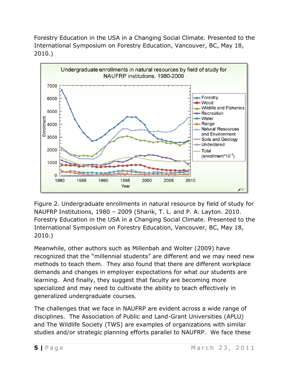Forestry Education in the USA in a Changing Social Climate. Presented to the International Symposium on Forestry Education, Vancouver, BC, May 18, 2010.)



Figure 2. Undergraduate enrollments in natural resource by field of study for NAUFRP Institutions, 1980 – 2009 (Sharik, T. L. and P. A. Layton. 2010. Forestry Education in the USA in a Changing Social Climate. Presented to the International Symposium on Forestry Education, Vancouver, BC, May 18, 2010.)

Meanwhile, other authors such as Millenbah and Wolter (2009) have recognized that the "millennial students" are different and we may need new methods to teach them. They also found that there are different workplace demands and changes in employer expectations for what our students are learning. And finally, they suggest that faculty are becoming more specialized and may need to cultivate the ability to teach effectively in generalized undergraduate courses.

The challenges that we face in NAUFRP are evident across a wide range of disciplines. The Association of Public and Land-Grant Universities (APLU) and The Wildlife Society (TWS) are examples of organizations with similar studies and/or strategic planning efforts parallel to NAUFRP. We face these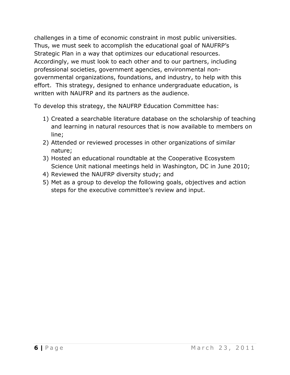challenges in a time of economic constraint in most public universities. Thus, we must seek to accomplish the educational goal of NAUFRP's Strategic Plan in a way that optimizes our educational resources. Accordingly, we must look to each other and to our partners, including professional societies, government agencies, environmental nongovernmental organizations, foundations, and industry, to help with this effort. This strategy, designed to enhance undergraduate education, is written with NAUFRP and its partners as the audience.

To develop this strategy, the NAUFRP Education Committee has:

- 1) Created a searchable literature database on the scholarship of teaching and learning in natural resources that is now available to members on line;
- 2) Attended or reviewed processes in other organizations of similar nature;
- 3) Hosted an educational roundtable at the Cooperative Ecosystem Science Unit national meetings held in Washington, DC in June 2010;
- 4) Reviewed the NAUFRP diversity study; and
- 5) Met as a group to develop the following goals, objectives and action steps for the executive committee's review and input.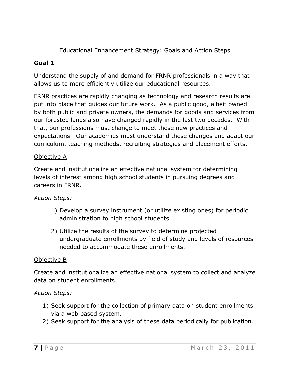Educational Enhancement Strategy: Goals and Action Steps

# **Goal 1**

Understand the supply of and demand for FRNR professionals in a way that allows us to more efficiently utilize our educational resources.

FRNR practices are rapidly changing as technology and research results are put into place that guides our future work. As a public good, albeit owned by both public and private owners, the demands for goods and services from our forested lands also have changed rapidly in the last two decades. With that, our professions must change to meet these new practices and expectations. Our academies must understand these changes and adapt our curriculum, teaching methods, recruiting strategies and placement efforts.

# Objective A

Create and institutionalize an effective national system for determining levels of interest among high school students in pursuing degrees and careers in FRNR.

# *Action Steps:*

- 1) Develop a survey instrument (or utilize existing ones) for periodic administration to high school students.
- 2) Utilize the results of the survey to determine projected undergraduate enrollments by field of study and levels of resources needed to accommodate these enrollments.

# Objective B

Create and institutionalize an effective national system to collect and analyze data on student enrollments.

- 1) Seek support for the collection of primary data on student enrollments via a web based system.
- 2) Seek support for the analysis of these data periodically for publication.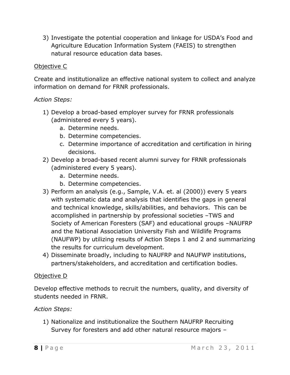3) Investigate the potential cooperation and linkage for USDA's Food and Agriculture Education Information System (FAEIS) to strengthen natural resource education data bases.

# Objective C

Create and institutionalize an effective national system to collect and analyze information on demand for FRNR professionals.

# *Action Steps:*

- 1) Develop a broad-based employer survey for FRNR professionals (administered every 5 years).
	- a. Determine needs.
	- b. Determine competencies.
	- c. Determine importance of accreditation and certification in hiring decisions.
- 2) Develop a broad-based recent alumni survey for FRNR professionals (administered every 5 years).
	- a. Determine needs.
	- b. Determine competencies.
- 3) Perform an analysis (e.g., Sample, V.A. et. al (2000)) every 5 years with systematic data and analysis that identifies the gaps in general and technical knowledge, skills/abilities, and behaviors. This can be accomplished in partnership by professional societies –TWS and Society of American Foresters (SAF) and educational groups –NAUFRP and the National Association University Fish and Wildlife Programs (NAUFWP) by utilizing results of Action Steps 1 and 2 and summarizing the results for curriculum development.
- 4) Disseminate broadly, including to NAUFRP and NAUFWP institutions, partners/stakeholders, and accreditation and certification bodies.

#### Objective D

Develop effective methods to recruit the numbers, quality, and diversity of students needed in FRNR.

# *Action Steps:*

1) Nationalize and institutionalize the Southern NAUFRP Recruiting Survey for foresters and add other natural resource majors –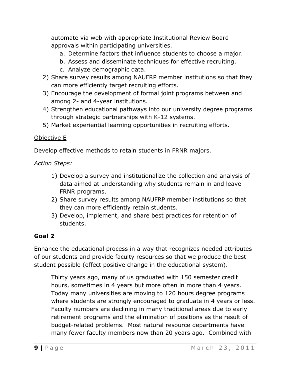automate via web with appropriate Institutional Review Board approvals within participating universities.

- a. Determine factors that influence students to choose a major.
- b. Assess and disseminate techniques for effective recruiting.
- c. Analyze demographic data.
- 2) Share survey results among NAUFRP member institutions so that they can more efficiently target recruiting efforts.
- 3) Encourage the development of formal joint programs between and among 2- and 4-year institutions.
- 4) Strengthen educational pathways into our university degree programs through strategic partnerships with K-12 systems.
- 5) Market experiential learning opportunities in recruiting efforts.

# Objective E

Develop effective methods to retain students in FRNR majors.

*Action Steps:*

- 1) Develop a survey and institutionalize the collection and analysis of data aimed at understanding why students remain in and leave FRNR programs.
- 2) Share survey results among NAUFRP member institutions so that they can more efficiently retain students.
- 3) Develop, implement, and share best practices for retention of students.

# **Goal 2**

Enhance the educational process in a way that recognizes needed attributes of our students and provide faculty resources so that we produce the best student possible (effect positive change in the educational system).

Thirty years ago, many of us graduated with 150 semester credit hours, sometimes in 4 years but more often in more than 4 years. Today many universities are moving to 120 hours degree programs where students are strongly encouraged to graduate in 4 years or less. Faculty numbers are declining in many traditional areas due to early retirement programs and the elimination of positions as the result of budget-related problems. Most natural resource departments have many fewer faculty members now than 20 years ago. Combined with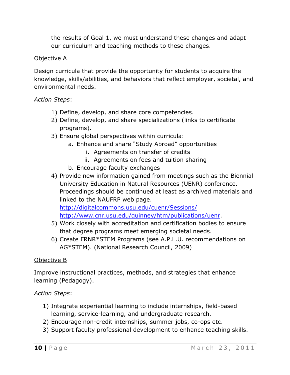the results of Goal 1, we must understand these changes and adapt our curriculum and teaching methods to these changes.

# Objective A

Design curricula that provide the opportunity for students to acquire the knowledge, skills/abilities, and behaviors that reflect employer, societal, and environmental needs.

*Action Steps*:

- 1) Define, develop, and share core competencies.
- 2) Define, develop, and share specializations (links to certificate programs).
- 3) Ensure global perspectives within curricula:
	- a. Enhance and share "Study Abroad" opportunities
		- i. Agreements on transfer of credits
		- ii. Agreements on fees and tuition sharing
	- b. Encourage faculty exchanges
- 4) Provide new information gained from meetings such as the Biennial University Education in Natural Resources (UENR) conference. Proceedings should be continued at least as archived materials and linked to the NAUFRP web page.

<http://digitalcommons.usu.edu/cuenr/Sessions/>

- [http://www.cnr.usu.edu/quinney/htm/publications/uenr.](http://www.cnr.usu.edu/quinney/htm/publications/uenr)
- 5) Work closely with accreditation and certification bodies to ensure that degree programs meet emerging societal needs.
- 6) Create FRNR\*STEM Programs (see A.P.L.U. recommendations on AG\*STEM). (National Research Council, 2009)

# Objective B

Improve instructional practices, methods, and strategies that enhance learning (Pedagogy).

- 1) Integrate experiential learning to include internships, field-based learning, service-learning, and undergraduate research.
- 2) Encourage non-credit internships, summer jobs, co-ops etc.
- 3) Support faculty professional development to enhance teaching skills.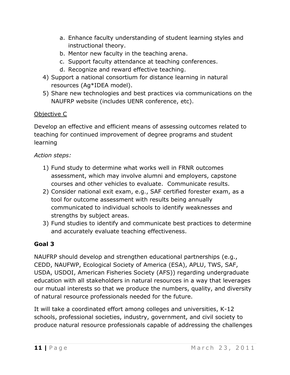- a. Enhance faculty understanding of student learning styles and instructional theory.
- b. Mentor new faculty in the teaching arena.
- c. Support faculty attendance at teaching conferences.
- d. Recognize and reward effective teaching.
- 4) Support a national consortium for distance learning in natural resources (Ag\*IDEA model).
- 5) Share new technologies and best practices via communications on the NAUFRP website (includes UENR conference, etc).

# Objective C

Develop an effective and efficient means of assessing outcomes related to teaching for continued improvement of degree programs and student learning

# *Action steps:*

- 1) Fund study to determine what works well in FRNR outcomes assessment, which may involve alumni and employers, capstone courses and other vehicles to evaluate. Communicate results.
- 2) Consider national exit exam, e.g., SAF certified forester exam, as a tool for outcome assessment with results being annually communicated to individual schools to identify weaknesses and strengths by subject areas.
- 3) Fund studies to identify and communicate best practices to determine and accurately evaluate teaching effectiveness.

# **Goal 3**

NAUFRP should develop and strengthen educational partnerships (e.g., CEDD, NAUFWP, Ecological Society of America (ESA), APLU, TWS, SAF, USDA, USDOI, American Fisheries Society (AFS)) regarding undergraduate education with all stakeholders in natural resources in a way that leverages our mutual interests so that we produce the numbers, quality, and diversity of natural resource professionals needed for the future.

It will take a coordinated effort among colleges and universities, K-12 schools, professional societies, industry, government, and civil society to produce natural resource professionals capable of addressing the challenges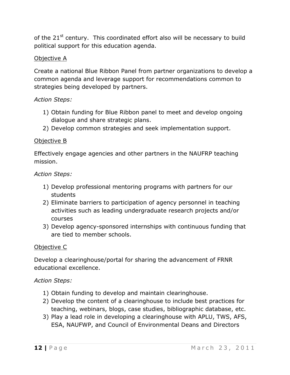of the 21<sup>st</sup> century. This coordinated effort also will be necessary to build political support for this education agenda.

# Objective A

Create a national Blue Ribbon Panel from partner organizations to develop a common agenda and leverage support for recommendations common to strategies being developed by partners.

# *Action Steps:*

- 1) Obtain funding for Blue Ribbon panel to meet and develop ongoing dialogue and share strategic plans.
- 2) Develop common strategies and seek implementation support.

# Objective B

Effectively engage agencies and other partners in the NAUFRP teaching mission.

#### *Action Steps:*

- 1) Develop professional mentoring programs with partners for our students
- 2) Eliminate barriers to participation of agency personnel in teaching activities such as leading undergraduate research projects and/or courses
- 3) Develop agency-sponsored internships with continuous funding that are tied to member schools.

# Objective C

Develop a clearinghouse/portal for sharing the advancement of FRNR educational excellence.

- 1) Obtain funding to develop and maintain clearinghouse.
- 2) Develop the content of a clearinghouse to include best practices for teaching, webinars, blogs, case studies, bibliographic database, etc.
- 3) Play a lead role in developing a clearinghouse with APLU, TWS, AFS, ESA, NAUFWP, and Council of Environmental Deans and Directors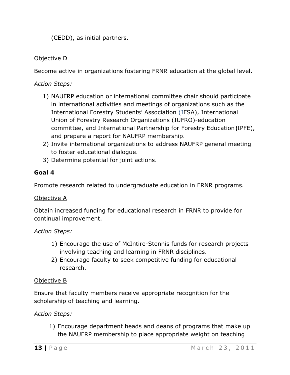(CEDD), as initial partners.

# Objective D

Become active in organizations fostering FRNR education at the global level.

*Action Steps:*

- 1) NAUFRP education or international committee chair should participate in international activities and meetings of organizations such as the International Forestry Students' Association (IFSA), International Union of Forestry Research Organizations (IUFRO)-education committee, and International Partnership for Forestry Education **(**IPFE), and prepare a report for NAUFRP membership.
- 2) Invite international organizations to address NAUFRP general meeting to foster educational dialogue.
- 3) Determine potential for joint actions.

# **Goal 4**

Promote research related to undergraduate education in FRNR programs.

# Objective A

Obtain increased funding for educational research in FRNR to provide for continual improvement.

*Action Steps:*

- 1) Encourage the use of McIntire-Stennis funds for research projects involving teaching and learning in FRNR disciplines.
- 2) Encourage faculty to seek competitive funding for educational research.

# Objective B

Ensure that faculty members receive appropriate recognition for the scholarship of teaching and learning.

# *Action Steps:*

1) Encourage department heads and deans of programs that make up the NAUFRP membership to place appropriate weight on teaching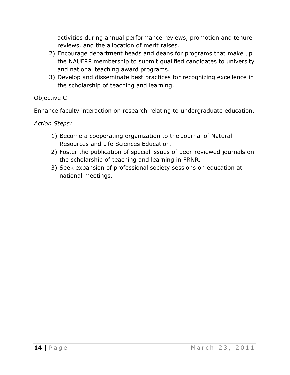activities during annual performance reviews, promotion and tenure reviews, and the allocation of merit raises.

- 2) Encourage department heads and deans for programs that make up the NAUFRP membership to submit qualified candidates to university and national teaching award programs.
- 3) Develop and disseminate best practices for recognizing excellence in the scholarship of teaching and learning.

# Objective C

Enhance faculty interaction on research relating to undergraduate education.

- 1) Become a cooperating organization to the Journal of Natural Resources and Life Sciences Education.
- 2) Foster the publication of special issues of peer-reviewed journals on the scholarship of teaching and learning in FRNR.
- 3) Seek expansion of professional society sessions on education at national meetings.